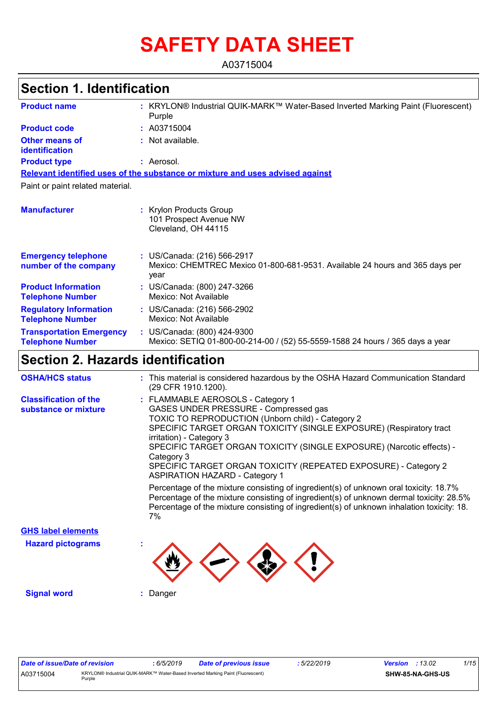# **SAFETY DATA SHEET**

A03715004

| <b>Section 1. Identification</b>                           |                                                                                                                     |  |  |  |
|------------------------------------------------------------|---------------------------------------------------------------------------------------------------------------------|--|--|--|
| <b>Product name</b>                                        | : KRYLON® Industrial QUIK-MARK™ Water-Based Inverted Marking Paint (Fluorescent)<br>Purple                          |  |  |  |
| <b>Product code</b><br>: A03715004                         |                                                                                                                     |  |  |  |
| <b>Other means of</b><br>identification                    | : Not available.                                                                                                    |  |  |  |
| <b>Product type</b>                                        | : Aerosol.                                                                                                          |  |  |  |
|                                                            | Relevant identified uses of the substance or mixture and uses advised against                                       |  |  |  |
| Paint or paint related material.                           |                                                                                                                     |  |  |  |
| <b>Manufacturer</b>                                        | : Krylon Products Group<br>101 Prospect Avenue NW<br>Cleveland, OH 44115                                            |  |  |  |
| <b>Emergency telephone</b><br>number of the company        | : US/Canada: (216) 566-2917<br>Mexico: CHEMTREC Mexico 01-800-681-9531. Available 24 hours and 365 days per<br>year |  |  |  |
| <b>Product Information</b><br><b>Telephone Number</b>      | : US/Canada: (800) 247-3266<br>Mexico: Not Available                                                                |  |  |  |
| <b>Regulatory Information</b><br><b>Telephone Number</b>   | : US/Canada: (216) 566-2902<br>Mexico: Not Available                                                                |  |  |  |
| <b>Transportation Emergency</b><br><b>Telephone Number</b> | : US/Canada: (800) 424-9300<br>Mexico: SETIQ 01-800-00-214-00 / (52) 55-5559-1588 24 hours / 365 days a year        |  |  |  |
| <b>Section 2. Hazards identification</b>                   |                                                                                                                     |  |  |  |

| <b>OSHA/HCS status</b>                               | : This material is considered hazardous by the OSHA Hazard Communication Standard<br>(29 CFR 1910.1200).                                                                                                                                                                                                                                                                                                                                                                                                                                                                                                                                                                                                                     |
|------------------------------------------------------|------------------------------------------------------------------------------------------------------------------------------------------------------------------------------------------------------------------------------------------------------------------------------------------------------------------------------------------------------------------------------------------------------------------------------------------------------------------------------------------------------------------------------------------------------------------------------------------------------------------------------------------------------------------------------------------------------------------------------|
| <b>Classification of the</b><br>substance or mixture | : FLAMMABLE AEROSOLS - Category 1<br>GASES UNDER PRESSURE - Compressed gas<br>TOXIC TO REPRODUCTION (Unborn child) - Category 2<br>SPECIFIC TARGET ORGAN TOXICITY (SINGLE EXPOSURE) (Respiratory tract<br>irritation) - Category 3<br>SPECIFIC TARGET ORGAN TOXICITY (SINGLE EXPOSURE) (Narcotic effects) -<br>Category 3<br>SPECIFIC TARGET ORGAN TOXICITY (REPEATED EXPOSURE) - Category 2<br><b>ASPIRATION HAZARD - Category 1</b><br>Percentage of the mixture consisting of ingredient(s) of unknown oral toxicity: 18.7%<br>Percentage of the mixture consisting of ingredient(s) of unknown dermal toxicity: 28.5%<br>Percentage of the mixture consisting of ingredient(s) of unknown inhalation toxicity: 18.<br>7% |
|                                                      |                                                                                                                                                                                                                                                                                                                                                                                                                                                                                                                                                                                                                                                                                                                              |
| <b>GHS label elements</b>                            |                                                                                                                                                                                                                                                                                                                                                                                                                                                                                                                                                                                                                                                                                                                              |
| <b>Hazard pictograms</b>                             |                                                                                                                                                                                                                                                                                                                                                                                                                                                                                                                                                                                                                                                                                                                              |
| <b>Signal word</b>                                   | Danger                                                                                                                                                                                                                                                                                                                                                                                                                                                                                                                                                                                                                                                                                                                       |
|                                                      |                                                                                                                                                                                                                                                                                                                                                                                                                                                                                                                                                                                                                                                                                                                              |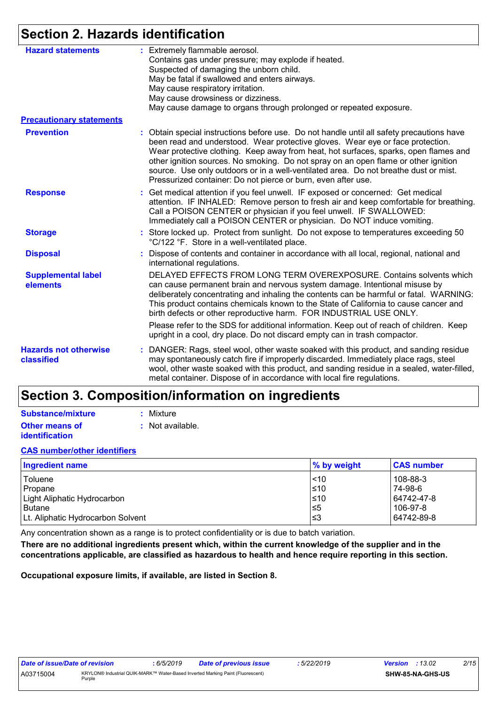# **Section 2. Hazards identification**

| <b>Hazard statements</b>                   |                                                                                                                                                                                                                                                                                                                                                                                                                                                                                                                     | : Extremely flammable aerosol.                                                                                                                                                                                                                                                                                                                                                                             |  |  |  |
|--------------------------------------------|---------------------------------------------------------------------------------------------------------------------------------------------------------------------------------------------------------------------------------------------------------------------------------------------------------------------------------------------------------------------------------------------------------------------------------------------------------------------------------------------------------------------|------------------------------------------------------------------------------------------------------------------------------------------------------------------------------------------------------------------------------------------------------------------------------------------------------------------------------------------------------------------------------------------------------------|--|--|--|
|                                            |                                                                                                                                                                                                                                                                                                                                                                                                                                                                                                                     | Contains gas under pressure; may explode if heated.                                                                                                                                                                                                                                                                                                                                                        |  |  |  |
|                                            |                                                                                                                                                                                                                                                                                                                                                                                                                                                                                                                     | Suspected of damaging the unborn child.                                                                                                                                                                                                                                                                                                                                                                    |  |  |  |
|                                            |                                                                                                                                                                                                                                                                                                                                                                                                                                                                                                                     | May be fatal if swallowed and enters airways.                                                                                                                                                                                                                                                                                                                                                              |  |  |  |
|                                            |                                                                                                                                                                                                                                                                                                                                                                                                                                                                                                                     | May cause respiratory irritation.                                                                                                                                                                                                                                                                                                                                                                          |  |  |  |
|                                            |                                                                                                                                                                                                                                                                                                                                                                                                                                                                                                                     | May cause drowsiness or dizziness.                                                                                                                                                                                                                                                                                                                                                                         |  |  |  |
|                                            |                                                                                                                                                                                                                                                                                                                                                                                                                                                                                                                     | May cause damage to organs through prolonged or repeated exposure.                                                                                                                                                                                                                                                                                                                                         |  |  |  |
| <b>Precautionary statements</b>            |                                                                                                                                                                                                                                                                                                                                                                                                                                                                                                                     |                                                                                                                                                                                                                                                                                                                                                                                                            |  |  |  |
| <b>Prevention</b>                          | : Obtain special instructions before use. Do not handle until all safety precautions have<br>been read and understood. Wear protective gloves. Wear eye or face protection.<br>Wear protective clothing. Keep away from heat, hot surfaces, sparks, open flames and<br>other ignition sources. No smoking. Do not spray on an open flame or other ignition<br>source. Use only outdoors or in a well-ventilated area. Do not breathe dust or mist.<br>Pressurized container: Do not pierce or burn, even after use. |                                                                                                                                                                                                                                                                                                                                                                                                            |  |  |  |
| <b>Response</b>                            |                                                                                                                                                                                                                                                                                                                                                                                                                                                                                                                     | : Get medical attention if you feel unwell. IF exposed or concerned: Get medical<br>attention. IF INHALED: Remove person to fresh air and keep comfortable for breathing.<br>Call a POISON CENTER or physician if you feel unwell. IF SWALLOWED:<br>Immediately call a POISON CENTER or physician. Do NOT induce vomiting.                                                                                 |  |  |  |
| <b>Storage</b>                             |                                                                                                                                                                                                                                                                                                                                                                                                                                                                                                                     | : Store locked up. Protect from sunlight. Do not expose to temperatures exceeding 50<br>°C/122 °F. Store in a well-ventilated place.                                                                                                                                                                                                                                                                       |  |  |  |
| <b>Disposal</b>                            |                                                                                                                                                                                                                                                                                                                                                                                                                                                                                                                     | : Dispose of contents and container in accordance with all local, regional, national and<br>international regulations.                                                                                                                                                                                                                                                                                     |  |  |  |
| <b>Supplemental label</b><br>elements      |                                                                                                                                                                                                                                                                                                                                                                                                                                                                                                                     | DELAYED EFFECTS FROM LONG TERM OVEREXPOSURE. Contains solvents which<br>can cause permanent brain and nervous system damage. Intentional misuse by<br>deliberately concentrating and inhaling the contents can be harmful or fatal. WARNING:<br>This product contains chemicals known to the State of California to cause cancer and<br>birth defects or other reproductive harm. FOR INDUSTRIAL USE ONLY. |  |  |  |
|                                            |                                                                                                                                                                                                                                                                                                                                                                                                                                                                                                                     | Please refer to the SDS for additional information. Keep out of reach of children. Keep<br>upright in a cool, dry place. Do not discard empty can in trash compactor.                                                                                                                                                                                                                                      |  |  |  |
| <b>Hazards not otherwise</b><br>classified |                                                                                                                                                                                                                                                                                                                                                                                                                                                                                                                     | : DANGER: Rags, steel wool, other waste soaked with this product, and sanding residue<br>may spontaneously catch fire if improperly discarded. Immediately place rags, steel<br>wool, other waste soaked with this product, and sanding residue in a sealed, water-filled,<br>metal container. Dispose of in accordance with local fire regulations.                                                       |  |  |  |

# **Section 3. Composition/information on ingredients**

| Substance/mixture     | : Mixture        |
|-----------------------|------------------|
| <b>Other means of</b> | : Not available. |
| <b>identification</b> |                  |

### **CAS number/other identifiers**

| <b>Ingredient name</b>            | % by weight | <b>CAS number</b> |
|-----------------------------------|-------------|-------------------|
| Toluene                           | $ $ < 10    | 108-88-3          |
| Propane                           | $≤10$       | 74-98-6           |
| Light Aliphatic Hydrocarbon       | $≤10$       | 64742-47-8        |
| <b>Butane</b>                     | $\leq 5$    | 106-97-8          |
| Lt. Aliphatic Hydrocarbon Solvent | '≤3         | 64742-89-8        |

Any concentration shown as a range is to protect confidentiality or is due to batch variation.

**There are no additional ingredients present which, within the current knowledge of the supplier and in the concentrations applicable, are classified as hazardous to health and hence require reporting in this section.**

**Occupational exposure limits, if available, are listed in Section 8.**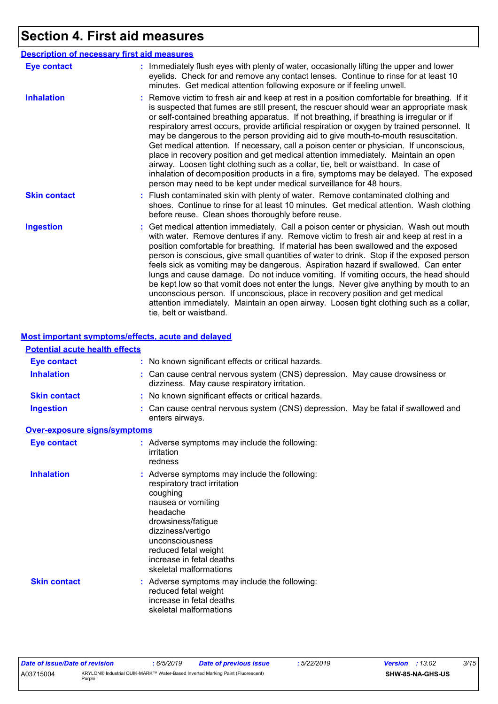# **Section 4. First aid measures**

|                     | <b>Description of necessary first aid measures</b>                                                                                                                                                                                                                                                                                                                                                                                                                                                                                                                                                                                                                                                                                                                                                                                                                                                             |
|---------------------|----------------------------------------------------------------------------------------------------------------------------------------------------------------------------------------------------------------------------------------------------------------------------------------------------------------------------------------------------------------------------------------------------------------------------------------------------------------------------------------------------------------------------------------------------------------------------------------------------------------------------------------------------------------------------------------------------------------------------------------------------------------------------------------------------------------------------------------------------------------------------------------------------------------|
| <b>Eye contact</b>  | : Immediately flush eyes with plenty of water, occasionally lifting the upper and lower<br>eyelids. Check for and remove any contact lenses. Continue to rinse for at least 10<br>minutes. Get medical attention following exposure or if feeling unwell.                                                                                                                                                                                                                                                                                                                                                                                                                                                                                                                                                                                                                                                      |
| <b>Inhalation</b>   | : Remove victim to fresh air and keep at rest in a position comfortable for breathing. If it<br>is suspected that fumes are still present, the rescuer should wear an appropriate mask<br>or self-contained breathing apparatus. If not breathing, if breathing is irregular or if<br>respiratory arrest occurs, provide artificial respiration or oxygen by trained personnel. It<br>may be dangerous to the person providing aid to give mouth-to-mouth resuscitation.<br>Get medical attention. If necessary, call a poison center or physician. If unconscious,<br>place in recovery position and get medical attention immediately. Maintain an open<br>airway. Loosen tight clothing such as a collar, tie, belt or waistband. In case of<br>inhalation of decomposition products in a fire, symptoms may be delayed. The exposed<br>person may need to be kept under medical surveillance for 48 hours. |
| <b>Skin contact</b> | : Flush contaminated skin with plenty of water. Remove contaminated clothing and<br>shoes. Continue to rinse for at least 10 minutes. Get medical attention. Wash clothing<br>before reuse. Clean shoes thoroughly before reuse.                                                                                                                                                                                                                                                                                                                                                                                                                                                                                                                                                                                                                                                                               |
| <b>Ingestion</b>    | : Get medical attention immediately. Call a poison center or physician. Wash out mouth<br>with water. Remove dentures if any. Remove victim to fresh air and keep at rest in a<br>position comfortable for breathing. If material has been swallowed and the exposed<br>person is conscious, give small quantities of water to drink. Stop if the exposed person<br>feels sick as vomiting may be dangerous. Aspiration hazard if swallowed. Can enter<br>lungs and cause damage. Do not induce vomiting. If vomiting occurs, the head should<br>be kept low so that vomit does not enter the lungs. Never give anything by mouth to an<br>unconscious person. If unconscious, place in recovery position and get medical<br>attention immediately. Maintain an open airway. Loosen tight clothing such as a collar,<br>tie, belt or waistband.                                                                |

### **Most important symptoms/effects, acute and delayed**

| <b>Potential acute health effects</b> |                                                                                                                                                                                                                                                                         |
|---------------------------------------|-------------------------------------------------------------------------------------------------------------------------------------------------------------------------------------------------------------------------------------------------------------------------|
| <b>Eye contact</b>                    | : No known significant effects or critical hazards.                                                                                                                                                                                                                     |
| <b>Inhalation</b>                     | : Can cause central nervous system (CNS) depression. May cause drowsiness or<br>dizziness. May cause respiratory irritation.                                                                                                                                            |
| <b>Skin contact</b>                   | : No known significant effects or critical hazards.                                                                                                                                                                                                                     |
| <b>Ingestion</b>                      | : Can cause central nervous system (CNS) depression. May be fatal if swallowed and<br>enters airways.                                                                                                                                                                   |
| Over-exposure signs/symptoms          |                                                                                                                                                                                                                                                                         |
| <b>Eye contact</b>                    | : Adverse symptoms may include the following:<br>irritation<br>redness                                                                                                                                                                                                  |
| <b>Inhalation</b>                     | : Adverse symptoms may include the following:<br>respiratory tract irritation<br>coughing<br>nausea or vomiting<br>headache<br>drowsiness/fatigue<br>dizziness/vertigo<br>unconsciousness<br>reduced fetal weight<br>increase in fetal deaths<br>skeletal malformations |
| <b>Skin contact</b>                   | : Adverse symptoms may include the following:<br>reduced fetal weight<br>increase in fetal deaths<br>skeletal malformations                                                                                                                                             |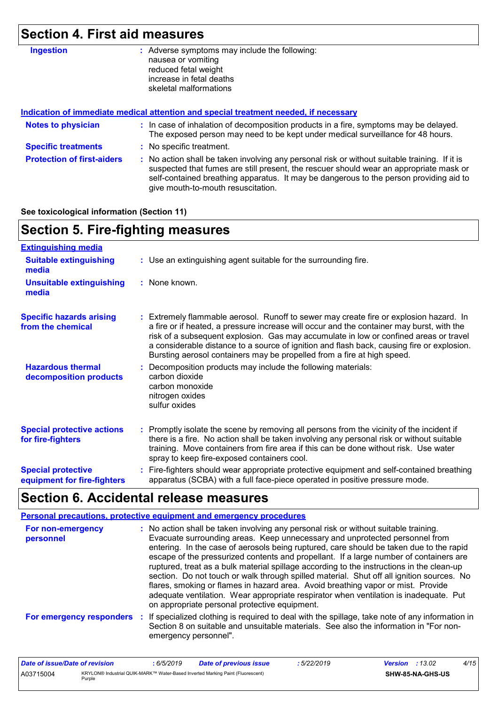# **Section 4. First aid measures**

| : Adverse symptoms may include the following:<br>nausea or vomiting<br>reduced fetal weight<br>increase in fetal deaths<br>skeletal malformations                                                                                                                                                                       |  |  |  |  |  |
|-------------------------------------------------------------------------------------------------------------------------------------------------------------------------------------------------------------------------------------------------------------------------------------------------------------------------|--|--|--|--|--|
| Indication of immediate medical attention and special treatment needed, if necessary                                                                                                                                                                                                                                    |  |  |  |  |  |
| : In case of inhalation of decomposition products in a fire, symptoms may be delayed.<br>The exposed person may need to be kept under medical surveillance for 48 hours.                                                                                                                                                |  |  |  |  |  |
| : No specific treatment.                                                                                                                                                                                                                                                                                                |  |  |  |  |  |
| : No action shall be taken involving any personal risk or without suitable training. If it is<br>suspected that fumes are still present, the rescuer should wear an appropriate mask or<br>self-contained breathing apparatus. It may be dangerous to the person providing aid to<br>give mouth-to-mouth resuscitation. |  |  |  |  |  |
|                                                                                                                                                                                                                                                                                                                         |  |  |  |  |  |

**See toxicological information (Section 11)**

| <b>Section 5. Fire-fighting measures</b>                 |                                                                                                                                                                                                                                                                                                                                                                                                                                                       |  |  |  |  |
|----------------------------------------------------------|-------------------------------------------------------------------------------------------------------------------------------------------------------------------------------------------------------------------------------------------------------------------------------------------------------------------------------------------------------------------------------------------------------------------------------------------------------|--|--|--|--|
| <b>Extinguishing media</b>                               |                                                                                                                                                                                                                                                                                                                                                                                                                                                       |  |  |  |  |
| <b>Suitable extinguishing</b><br>media                   | : Use an extinguishing agent suitable for the surrounding fire.                                                                                                                                                                                                                                                                                                                                                                                       |  |  |  |  |
| <b>Unsuitable extinguishing</b><br>media                 | : None known.                                                                                                                                                                                                                                                                                                                                                                                                                                         |  |  |  |  |
| <b>Specific hazards arising</b><br>from the chemical     | : Extremely flammable aerosol. Runoff to sewer may create fire or explosion hazard. In<br>a fire or if heated, a pressure increase will occur and the container may burst, with the<br>risk of a subsequent explosion. Gas may accumulate in low or confined areas or travel<br>a considerable distance to a source of ignition and flash back, causing fire or explosion.<br>Bursting aerosol containers may be propelled from a fire at high speed. |  |  |  |  |
| <b>Hazardous thermal</b><br>decomposition products       | Decomposition products may include the following materials:<br>carbon dioxide<br>carbon monoxide<br>nitrogen oxides<br>sulfur oxides                                                                                                                                                                                                                                                                                                                  |  |  |  |  |
| <b>Special protective actions</b><br>for fire-fighters   | : Promptly isolate the scene by removing all persons from the vicinity of the incident if<br>there is a fire. No action shall be taken involving any personal risk or without suitable<br>training. Move containers from fire area if this can be done without risk. Use water<br>spray to keep fire-exposed containers cool.                                                                                                                         |  |  |  |  |
| <b>Special protective</b><br>equipment for fire-fighters | Fire-fighters should wear appropriate protective equipment and self-contained breathing<br>apparatus (SCBA) with a full face-piece operated in positive pressure mode.                                                                                                                                                                                                                                                                                |  |  |  |  |

# **Section 6. Accidental release measures**

|                                | <b>Personal precautions, protective equipment and emergency procedures</b>                                                                                                                                                                                                                                                                                                                                                                                                                                                                                                                                                                                                                                                                                                       |
|--------------------------------|----------------------------------------------------------------------------------------------------------------------------------------------------------------------------------------------------------------------------------------------------------------------------------------------------------------------------------------------------------------------------------------------------------------------------------------------------------------------------------------------------------------------------------------------------------------------------------------------------------------------------------------------------------------------------------------------------------------------------------------------------------------------------------|
| For non-emergency<br>personnel | : No action shall be taken involving any personal risk or without suitable training.<br>Evacuate surrounding areas. Keep unnecessary and unprotected personnel from<br>entering. In the case of aerosols being ruptured, care should be taken due to the rapid<br>escape of the pressurized contents and propellant. If a large number of containers are<br>ruptured, treat as a bulk material spillage according to the instructions in the clean-up<br>section. Do not touch or walk through spilled material. Shut off all ignition sources. No<br>flares, smoking or flames in hazard area. Avoid breathing vapor or mist. Provide<br>adequate ventilation. Wear appropriate respirator when ventilation is inadequate. Put<br>on appropriate personal protective equipment. |
| For emergency responders       | If specialized clothing is required to deal with the spillage, take note of any information in<br>И.,<br>Section 8 on suitable and unsuitable materials. See also the information in "For non-<br>emergency personnel".                                                                                                                                                                                                                                                                                                                                                                                                                                                                                                                                                          |

| Date of issue/Date of revision |        | 6/5/2019 | Date of previous issue                                                         | : 5/22/2019 | Version | :13.02                  | 4/15 |
|--------------------------------|--------|----------|--------------------------------------------------------------------------------|-------------|---------|-------------------------|------|
| A03715004                      | Purple |          | KRYLON® Industrial QUIK-MARK™ Water-Based Inverted Marking Paint (Fluorescent) |             |         | <b>SHW-85-NA-GHS-US</b> |      |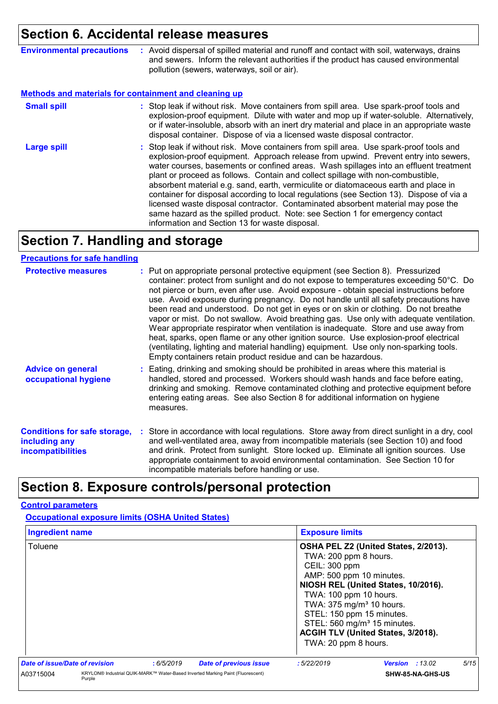# **Section 6. Accidental release measures**

| <b>Environmental precautions</b> | Avoid dispersal of spilled material and runoff and contact with soil, waterways, drains<br>and sewers. Inform the relevant authorities if the product has caused environmental<br>pollution (sewers, waterways, soil or air). |
|----------------------------------|-------------------------------------------------------------------------------------------------------------------------------------------------------------------------------------------------------------------------------|
|                                  |                                                                                                                                                                                                                               |

#### **Methods and materials for containment and cleaning up**

| <b>Small spill</b> | : Stop leak if without risk. Move containers from spill area. Use spark-proof tools and<br>explosion-proof equipment. Dilute with water and mop up if water-soluble. Alternatively,<br>or if water-insoluble, absorb with an inert dry material and place in an appropriate waste<br>disposal container. Dispose of via a licensed waste disposal contractor.                                                                                                                                                                                                                                                                                                                                                                                                        |
|--------------------|----------------------------------------------------------------------------------------------------------------------------------------------------------------------------------------------------------------------------------------------------------------------------------------------------------------------------------------------------------------------------------------------------------------------------------------------------------------------------------------------------------------------------------------------------------------------------------------------------------------------------------------------------------------------------------------------------------------------------------------------------------------------|
| <b>Large spill</b> | : Stop leak if without risk. Move containers from spill area. Use spark-proof tools and<br>explosion-proof equipment. Approach release from upwind. Prevent entry into sewers,<br>water courses, basements or confined areas. Wash spillages into an effluent treatment<br>plant or proceed as follows. Contain and collect spillage with non-combustible,<br>absorbent material e.g. sand, earth, vermiculite or diatomaceous earth and place in<br>container for disposal according to local regulations (see Section 13). Dispose of via a<br>licensed waste disposal contractor. Contaminated absorbent material may pose the<br>same hazard as the spilled product. Note: see Section 1 for emergency contact<br>information and Section 13 for waste disposal. |

## **Section 7. Handling and storage**

#### **Precautions for safe handling**

| <b>Protective measures</b>                                                       | : Put on appropriate personal protective equipment (see Section 8). Pressurized<br>container: protect from sunlight and do not expose to temperatures exceeding 50°C. Do<br>not pierce or burn, even after use. Avoid exposure - obtain special instructions before<br>use. Avoid exposure during pregnancy. Do not handle until all safety precautions have<br>been read and understood. Do not get in eyes or on skin or clothing. Do not breathe<br>vapor or mist. Do not swallow. Avoid breathing gas. Use only with adequate ventilation.<br>Wear appropriate respirator when ventilation is inadequate. Store and use away from<br>heat, sparks, open flame or any other ignition source. Use explosion-proof electrical<br>(ventilating, lighting and material handling) equipment. Use only non-sparking tools.<br>Empty containers retain product residue and can be hazardous. |
|----------------------------------------------------------------------------------|------------------------------------------------------------------------------------------------------------------------------------------------------------------------------------------------------------------------------------------------------------------------------------------------------------------------------------------------------------------------------------------------------------------------------------------------------------------------------------------------------------------------------------------------------------------------------------------------------------------------------------------------------------------------------------------------------------------------------------------------------------------------------------------------------------------------------------------------------------------------------------------|
| <b>Advice on general</b><br>occupational hygiene                                 | : Eating, drinking and smoking should be prohibited in areas where this material is<br>handled, stored and processed. Workers should wash hands and face before eating,<br>drinking and smoking. Remove contaminated clothing and protective equipment before<br>entering eating areas. See also Section 8 for additional information on hygiene<br>measures.                                                                                                                                                                                                                                                                                                                                                                                                                                                                                                                            |
| <b>Conditions for safe storage,</b><br>including any<br><b>incompatibilities</b> | : Store in accordance with local regulations. Store away from direct sunlight in a dry, cool<br>and well-ventilated area, away from incompatible materials (see Section 10) and food<br>and drink. Protect from sunlight. Store locked up. Eliminate all ignition sources. Use<br>appropriate containment to avoid environmental contamination. See Section 10 for<br>incompatible materials before handling or use.                                                                                                                                                                                                                                                                                                                                                                                                                                                                     |

### **Section 8. Exposure controls/personal protection**

#### **Control parameters**

**Occupational exposure limits (OSHA United States)**

| <b>Ingredient name</b>         |        |            | <b>Exposure limits</b>                                                         |                                                                                                                                                                                                                                      |                                                                                                                   |      |
|--------------------------------|--------|------------|--------------------------------------------------------------------------------|--------------------------------------------------------------------------------------------------------------------------------------------------------------------------------------------------------------------------------------|-------------------------------------------------------------------------------------------------------------------|------|
| Toluene                        |        |            |                                                                                | TWA: 200 ppm 8 hours.<br>CEIL: 300 ppm<br>AMP: 500 ppm 10 minutes.<br>TWA: 100 ppm 10 hours.<br>TWA: 375 mg/m <sup>3</sup> 10 hours.<br>STEL: 150 ppm 15 minutes.<br>STEL: 560 mg/m <sup>3</sup> 15 minutes.<br>TWA: 20 ppm 8 hours. | OSHA PEL Z2 (United States, 2/2013).<br>NIOSH REL (United States, 10/2016).<br>ACGIH TLV (United States, 3/2018). |      |
| Date of issue/Date of revision |        | : 6/5/2019 | <b>Date of previous issue</b>                                                  | :5/22/2019                                                                                                                                                                                                                           | <b>Version</b> : 13.02                                                                                            | 5/15 |
| A03715004                      | Purple |            | KRYLON® Industrial QUIK-MARK™ Water-Based Inverted Marking Paint (Fluorescent) |                                                                                                                                                                                                                                      | SHW-85-NA-GHS-US                                                                                                  |      |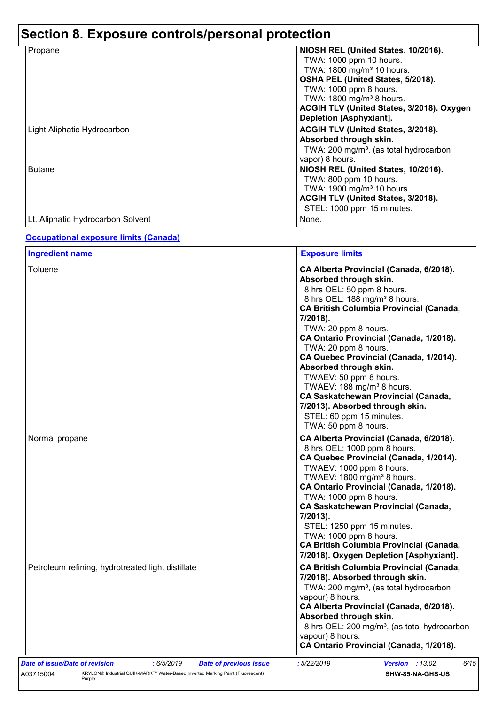# **Section 8. Exposure controls/personal protection**

| Propane                            | NIOSH REL (United States, 10/2016).                |
|------------------------------------|----------------------------------------------------|
|                                    | TWA: 1000 ppm 10 hours.                            |
|                                    | TWA: 1800 mg/m <sup>3</sup> 10 hours.              |
|                                    | OSHA PEL (United States, 5/2018).                  |
|                                    | TWA: 1000 ppm 8 hours.                             |
|                                    | TWA: 1800 mg/m <sup>3</sup> 8 hours.               |
|                                    | ACGIH TLV (United States, 3/2018). Oxygen          |
|                                    | Depletion [Asphyxiant].                            |
| <b>Light Aliphatic Hydrocarbon</b> | ACGIH TLV (United States, 3/2018).                 |
|                                    | Absorbed through skin.                             |
|                                    | TWA: 200 mg/m <sup>3</sup> , (as total hydrocarbon |
|                                    | vapor) 8 hours.                                    |
| <b>Butane</b>                      | NIOSH REL (United States, 10/2016).                |
|                                    | TWA: 800 ppm 10 hours.                             |
|                                    | TWA: 1900 mg/m <sup>3</sup> 10 hours.              |
|                                    | ACGIH TLV (United States, 3/2018).                 |
|                                    | STEL: 1000 ppm 15 minutes.                         |
| Lt. Aliphatic Hydrocarbon Solvent  | None.                                              |

### **Occupational exposure limits (Canada)**

A03715004 KRYLON® Industrial QUIK-MARK™ Water-Based Inverted Marking Paint (Fluorescent) Purple

| <b>Ingredient name</b>                            | <b>Exposure limits</b>                                                                                                                                                                                                                                                                                                                                                                                                                                                                                                                                                            |
|---------------------------------------------------|-----------------------------------------------------------------------------------------------------------------------------------------------------------------------------------------------------------------------------------------------------------------------------------------------------------------------------------------------------------------------------------------------------------------------------------------------------------------------------------------------------------------------------------------------------------------------------------|
| Toluene                                           | CA Alberta Provincial (Canada, 6/2018).<br>Absorbed through skin.<br>8 hrs OEL: 50 ppm 8 hours.<br>8 hrs OEL: 188 mg/m <sup>3</sup> 8 hours.<br><b>CA British Columbia Provincial (Canada,</b><br>7/2018).<br>TWA: 20 ppm 8 hours.<br>CA Ontario Provincial (Canada, 1/2018).<br>TWA: 20 ppm 8 hours.<br>CA Quebec Provincial (Canada, 1/2014).<br>Absorbed through skin.<br>TWAEV: 50 ppm 8 hours.<br>TWAEV: 188 mg/m <sup>3</sup> 8 hours.<br><b>CA Saskatchewan Provincial (Canada,</b><br>7/2013). Absorbed through skin.<br>STEL: 60 ppm 15 minutes.<br>TWA: 50 ppm 8 hours. |
| Normal propane                                    | CA Alberta Provincial (Canada, 6/2018).<br>8 hrs OEL: 1000 ppm 8 hours.<br>CA Quebec Provincial (Canada, 1/2014).<br>TWAEV: 1000 ppm 8 hours.<br>TWAEV: 1800 mg/m <sup>3</sup> 8 hours.<br>CA Ontario Provincial (Canada, 1/2018).<br>TWA: 1000 ppm 8 hours.<br><b>CA Saskatchewan Provincial (Canada,</b><br>7/2013).<br>STEL: 1250 ppm 15 minutes.<br>TWA: 1000 ppm 8 hours.<br><b>CA British Columbia Provincial (Canada,</b><br>7/2018). Oxygen Depletion [Asphyxiant].                                                                                                       |
| Petroleum refining, hydrotreated light distillate | <b>CA British Columbia Provincial (Canada,</b><br>7/2018). Absorbed through skin.<br>TWA: 200 mg/m <sup>3</sup> , (as total hydrocarbon<br>vapour) 8 hours.<br>CA Alberta Provincial (Canada, 6/2018).<br>Absorbed through skin.<br>8 hrs OEL: 200 mg/m <sup>3</sup> , (as total hydrocarbon<br>vapour) 8 hours.<br>CA Ontario Provincial (Canada, 1/2018).                                                                                                                                                                                                                       |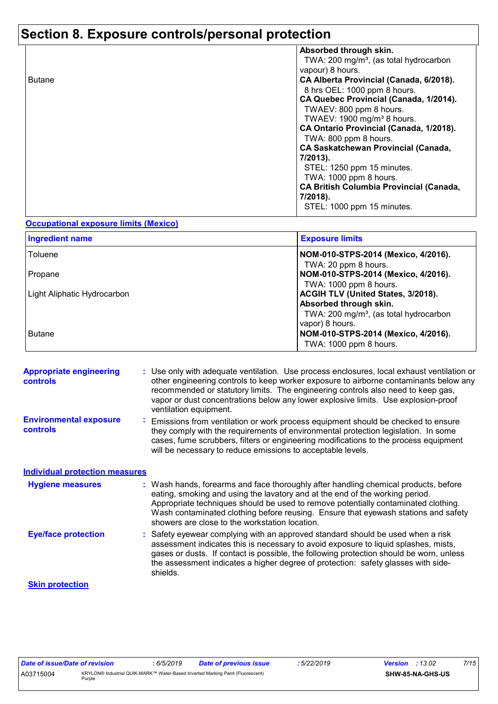# **Section 8. Exposure controls/personal protection**

|               | Absorbed through skin.                             |
|---------------|----------------------------------------------------|
|               | TWA: 200 mg/m <sup>3</sup> , (as total hydrocarbon |
|               | vapour) 8 hours.                                   |
| <b>Butane</b> | CA Alberta Provincial (Canada, 6/2018).            |
|               | 8 hrs OEL: 1000 ppm 8 hours.                       |
|               | CA Quebec Provincial (Canada, 1/2014).             |
|               | TWAEV: 800 ppm 8 hours.                            |
|               | TWAEV: 1900 mg/m <sup>3</sup> 8 hours.             |
|               | CA Ontario Provincial (Canada, 1/2018).            |
|               | TWA: 800 ppm 8 hours.                              |
|               | <b>CA Saskatchewan Provincial (Canada,</b>         |
|               | 7/2013).                                           |
|               | STEL: 1250 ppm 15 minutes.                         |
|               | TWA: 1000 ppm 8 hours.                             |
|               | <b>CA British Columbia Provincial (Canada,</b>     |
|               | 7/2018).                                           |
|               | STEL: 1000 ppm 15 minutes.                         |
|               |                                                    |

#### **Occupational exposure limits (Mexico)**

| <b>Ingredient name</b>      | <b>Exposure limits</b>                                                                                             |
|-----------------------------|--------------------------------------------------------------------------------------------------------------------|
| Toluene                     | NOM-010-STPS-2014 (Mexico, 4/2016).<br>TWA: 20 ppm 8 hours.                                                        |
| Propane                     | NOM-010-STPS-2014 (Mexico, 4/2016).<br>TWA: 1000 ppm 8 hours.                                                      |
| Light Aliphatic Hydrocarbon | ACGIH TLV (United States, 3/2018).<br>Absorbed through skin.<br>TWA: 200 mg/m <sup>3</sup> , (as total hydrocarbon |
| <b>Butane</b>               | vapor) 8 hours.<br>NOM-010-STPS-2014 (Mexico, 4/2016).<br>TWA: 1000 ppm 8 hours.                                   |

| <b>Appropriate engineering</b><br><b>controls</b> | : Use only with adequate ventilation. Use process enclosures, local exhaust ventilation or<br>other engineering controls to keep worker exposure to airborne contaminants below any<br>recommended or statutory limits. The engineering controls also need to keep gas,<br>vapor or dust concentrations below any lower explosive limits. Use explosion-proof<br>ventilation equipment.           |
|---------------------------------------------------|---------------------------------------------------------------------------------------------------------------------------------------------------------------------------------------------------------------------------------------------------------------------------------------------------------------------------------------------------------------------------------------------------|
| <b>Environmental exposure</b><br><b>controls</b>  | Emissions from ventilation or work process equipment should be checked to ensure<br>they comply with the requirements of environmental protection legislation. In some<br>cases, fume scrubbers, filters or engineering modifications to the process equipment<br>will be necessary to reduce emissions to acceptable levels.                                                                     |
| <b>Individual protection measures</b>             |                                                                                                                                                                                                                                                                                                                                                                                                   |
| <b>Hygiene measures</b>                           | : Wash hands, forearms and face thoroughly after handling chemical products, before<br>eating, smoking and using the lavatory and at the end of the working period.<br>Appropriate techniques should be used to remove potentially contaminated clothing.<br>Wash contaminated clothing before reusing. Ensure that eyewash stations and safety<br>showers are close to the workstation location. |
| <b>Eye/face protection</b>                        | Safety eyewear complying with an approved standard should be used when a risk<br>assessment indicates this is necessary to avoid exposure to liquid splashes, mists,<br>gases or dusts. If contact is possible, the following protection should be worn, unless<br>the assessment indicates a higher degree of protection: safety glasses with side-<br>shields.                                  |
| <b>Skin protection</b>                            |                                                                                                                                                                                                                                                                                                                                                                                                   |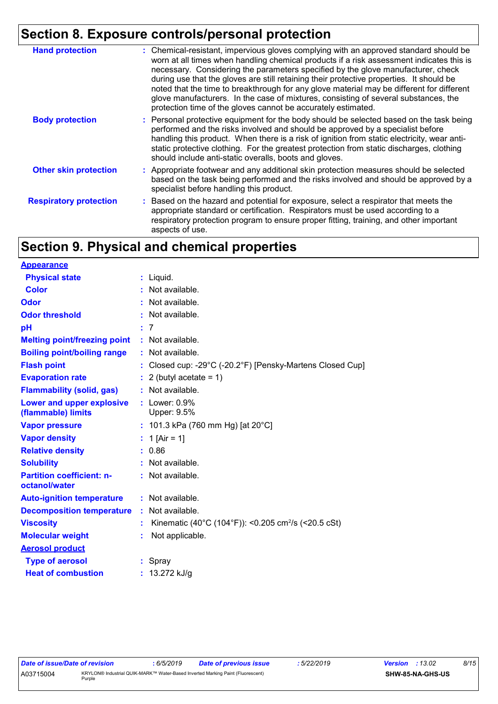# **Section 8. Exposure controls/personal protection**

| <b>Hand protection</b>        | : Chemical-resistant, impervious gloves complying with an approved standard should be<br>worn at all times when handling chemical products if a risk assessment indicates this is<br>necessary. Considering the parameters specified by the glove manufacturer, check<br>during use that the gloves are still retaining their protective properties. It should be<br>noted that the time to breakthrough for any glove material may be different for different<br>glove manufacturers. In the case of mixtures, consisting of several substances, the<br>protection time of the gloves cannot be accurately estimated. |
|-------------------------------|------------------------------------------------------------------------------------------------------------------------------------------------------------------------------------------------------------------------------------------------------------------------------------------------------------------------------------------------------------------------------------------------------------------------------------------------------------------------------------------------------------------------------------------------------------------------------------------------------------------------|
| <b>Body protection</b>        | : Personal protective equipment for the body should be selected based on the task being<br>performed and the risks involved and should be approved by a specialist before<br>handling this product. When there is a risk of ignition from static electricity, wear anti-<br>static protective clothing. For the greatest protection from static discharges, clothing<br>should include anti-static overalls, boots and gloves.                                                                                                                                                                                         |
| <b>Other skin protection</b>  | : Appropriate footwear and any additional skin protection measures should be selected<br>based on the task being performed and the risks involved and should be approved by a<br>specialist before handling this product.                                                                                                                                                                                                                                                                                                                                                                                              |
| <b>Respiratory protection</b> | : Based on the hazard and potential for exposure, select a respirator that meets the<br>appropriate standard or certification. Respirators must be used according to a<br>respiratory protection program to ensure proper fitting, training, and other important<br>aspects of use.                                                                                                                                                                                                                                                                                                                                    |

# **Section 9. Physical and chemical properties**

| <b>Appearance</b>                                 |                                                                 |
|---------------------------------------------------|-----------------------------------------------------------------|
| <b>Physical state</b>                             | : Liquid.                                                       |
| <b>Color</b>                                      | : Not available.                                                |
| <b>Odor</b>                                       | : Not available.                                                |
| <b>Odor threshold</b>                             | : Not available.                                                |
| pH                                                | : 7                                                             |
| <b>Melting point/freezing point</b>               | : Not available.                                                |
| <b>Boiling point/boiling range</b>                | : Not available.                                                |
| <b>Flash point</b>                                | : Closed cup: -29°C (-20.2°F) [Pensky-Martens Closed Cup]       |
| <b>Evaporation rate</b>                           | $: 2$ (butyl acetate = 1)                                       |
| <b>Flammability (solid, gas)</b>                  | : Not available.                                                |
| Lower and upper explosive<br>(flammable) limits   | $:$ Lower: $0.9\%$<br>Upper: 9.5%                               |
| <b>Vapor pressure</b>                             | : 101.3 kPa (760 mm Hg) [at 20°C]                               |
| <b>Vapor density</b>                              | : 1 [Air = 1]                                                   |
| <b>Relative density</b>                           | : 0.86                                                          |
| <b>Solubility</b>                                 | : Not available.                                                |
| <b>Partition coefficient: n-</b><br>octanol/water | : Not available.                                                |
| <b>Auto-ignition temperature</b>                  | : Not available.                                                |
| <b>Decomposition temperature</b>                  | Not available.                                                  |
| <b>Viscosity</b>                                  | Kinematic (40°C (104°F)): <0.205 cm <sup>2</sup> /s (<20.5 cSt) |
| <b>Molecular weight</b>                           | Not applicable.                                                 |
| <b>Aerosol product</b>                            |                                                                 |
| <b>Type of aerosol</b>                            | : Spray                                                         |
| <b>Heat of combustion</b>                         | : $13.272$ kJ/g                                                 |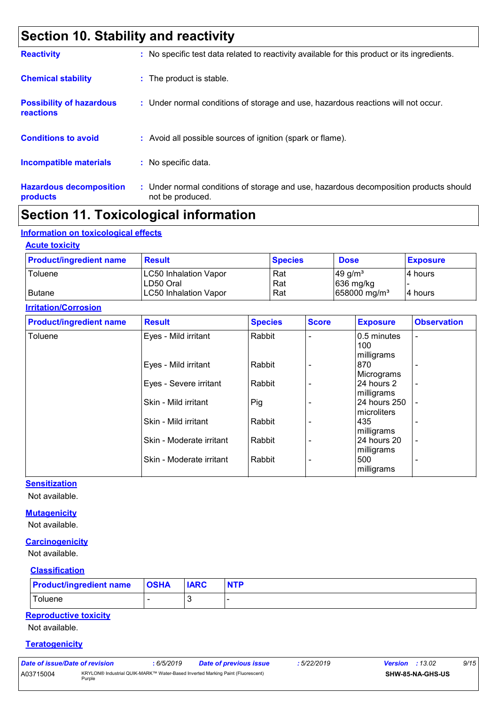# **Section 10. Stability and reactivity**

| <b>Reactivity</b>                                   | : No specific test data related to reactivity available for this product or its ingredients.              |
|-----------------------------------------------------|-----------------------------------------------------------------------------------------------------------|
| <b>Chemical stability</b>                           | : The product is stable.                                                                                  |
| <b>Possibility of hazardous</b><br><b>reactions</b> | : Under normal conditions of storage and use, hazardous reactions will not occur.                         |
| <b>Conditions to avoid</b>                          | : Avoid all possible sources of ignition (spark or flame).                                                |
| <b>Incompatible materials</b>                       | : No specific data.                                                                                       |
| <b>Hazardous decomposition</b><br>products          | : Under normal conditions of storage and use, hazardous decomposition products should<br>not be produced. |

# **Section 11. Toxicological information**

### **Information on toxicological effects**

#### **Acute toxicity**

| <b>Product/ingredient name</b> | <b>Result</b>                | <b>Species</b> | <b>Dose</b>              | <b>Exposure</b> |
|--------------------------------|------------------------------|----------------|--------------------------|-----------------|
| Toluene                        | <b>LC50 Inhalation Vapor</b> | Rat            | $149$ g/m <sup>3</sup>   | I4 hours        |
|                                | LD50 Oral                    | Rat            | $ 636 \text{ mg/kg} $    |                 |
| Butane                         | <b>LC50 Inhalation Vapor</b> | Rat            | 658000 mg/m <sup>3</sup> | I4 hours        |

#### **Irritation/Corrosion**

| <b>Product/ingredient name</b> | <b>Result</b>            | <b>Species</b> | <b>Score</b> | <b>Exposure</b>            | <b>Observation</b>       |
|--------------------------------|--------------------------|----------------|--------------|----------------------------|--------------------------|
| Toluene                        | Eyes - Mild irritant     | Rabbit         |              | 0.5 minutes<br>100         | $\overline{\phantom{a}}$ |
|                                | Eyes - Mild irritant     | Rabbit         |              | milligrams<br>870          |                          |
|                                |                          |                |              | Micrograms                 | $\overline{\phantom{a}}$ |
|                                | Eyes - Severe irritant   | Rabbit         |              | 24 hours 2                 | $\overline{\phantom{a}}$ |
|                                | Skin - Mild irritant     | Pig            |              | milligrams<br>24 hours 250 | $\blacksquare$           |
|                                | Skin - Mild irritant     |                |              | microliters<br>435         |                          |
|                                |                          | Rabbit         |              | milligrams                 | ۰                        |
|                                | Skin - Moderate irritant | Rabbit         |              | 24 hours 20                | $\overline{\phantom{a}}$ |
|                                | Skin - Moderate irritant | Rabbit         |              | milligrams<br>500          | $\overline{\phantom{0}}$ |
|                                |                          |                |              | milligrams                 |                          |

### **Sensitization**

Not available.

### **Mutagenicity**

Not available.

### **Carcinogenicity**

Not available.

#### **Classification**

| <b>Product/ingredient name   OSHA</b> | <b>IARC</b> | <b>NTP</b> |
|---------------------------------------|-------------|------------|
| Toluene                               |             |            |

### **Reproductive toxicity**

Not available.

#### **Teratogenicity**

| Date of issue/Date of revision |        | 6/5/2019 | Date of previous issue                                                         | : 5/22/2019 | Version | :13.02           | 9/15 |
|--------------------------------|--------|----------|--------------------------------------------------------------------------------|-------------|---------|------------------|------|
| A03715004                      | Purple |          | KRYLON® Industrial QUIK-MARK™ Water-Based Inverted Marking Paint (Fluorescent) |             |         | SHW-85-NA-GHS-US |      |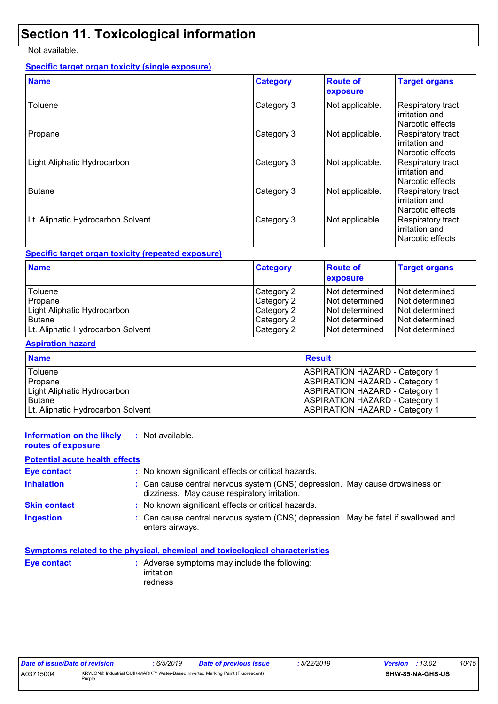## **Section 11. Toxicological information**

Not available.

### **Specific target organ toxicity (single exposure)**

| <b>Name</b>                       | <b>Category</b> | <b>Route of</b><br>exposure | <b>Target organs</b>                                    |
|-----------------------------------|-----------------|-----------------------------|---------------------------------------------------------|
| Toluene                           | Category 3      | Not applicable.             | Respiratory tract<br>irritation and<br>Narcotic effects |
| Propane                           | Category 3      | Not applicable.             | Respiratory tract<br>irritation and<br>Narcotic effects |
| Light Aliphatic Hydrocarbon       | Category 3      | Not applicable.             | Respiratory tract<br>irritation and<br>Narcotic effects |
| <b>Butane</b>                     | Category 3      | Not applicable.             | Respiratory tract<br>irritation and<br>Narcotic effects |
| Lt. Aliphatic Hydrocarbon Solvent | Category 3      | Not applicable.             | Respiratory tract<br>irritation and<br>Narcotic effects |

### **Specific target organ toxicity (repeated exposure)**

| <b>Name</b>                       | <b>Category</b> | <b>Route of</b><br>exposure | <b>Target organs</b> |
|-----------------------------------|-----------------|-----------------------------|----------------------|
| Toluene                           | Category 2      | INot determined             | Not determined       |
| Propane                           | Category 2      | INot determined             | Not determined       |
| Light Aliphatic Hydrocarbon       | Category 2      | INot determined             | Not determined       |
| <b>Butane</b>                     | Category 2      | INot determined             | Not determined       |
| Lt. Aliphatic Hydrocarbon Solvent | Category 2      | INot determined             | Not determined       |

### **Aspiration hazard**

| <b>Name</b>                       | <b>Result</b>                         |
|-----------------------------------|---------------------------------------|
| Toluene                           | <b>ASPIRATION HAZARD - Category 1</b> |
| <b>I</b> Propane                  | <b>ASPIRATION HAZARD - Category 1</b> |
| Light Aliphatic Hydrocarbon       | <b>ASPIRATION HAZARD - Category 1</b> |
| <b>Butane</b>                     | <b>ASPIRATION HAZARD - Category 1</b> |
| Lt. Aliphatic Hydrocarbon Solvent | <b>ASPIRATION HAZARD - Category 1</b> |

#### **Information on the likely :** Not available.

### **routes of exposure**

### **Potential acute health effects**

| <b>Eye contact</b>  | : No known significant effects or critical hazards.                                                                          |  |
|---------------------|------------------------------------------------------------------------------------------------------------------------------|--|
| <b>Inhalation</b>   | : Can cause central nervous system (CNS) depression. May cause drowsiness or<br>dizziness. May cause respiratory irritation. |  |
| <b>Skin contact</b> | : No known significant effects or critical hazards.                                                                          |  |
| <b>Ingestion</b>    | : Can cause central nervous system (CNS) depression. May be fatal if swallowed and<br>enters airways.                        |  |

#### **Symptoms related to the physical, chemical and toxicological characteristics**

| : Adverse symptoms may include the following: |
|-----------------------------------------------|
| irritation                                    |
| redness                                       |
|                                               |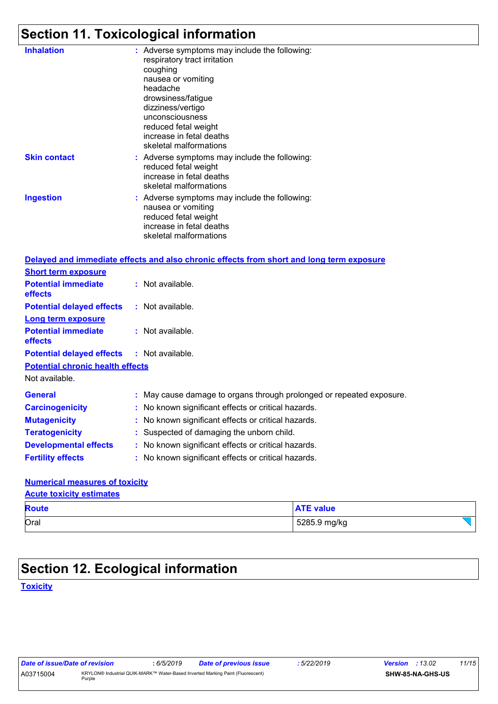# **Section 11. Toxicological information**

| <b>Inhalation</b>                       | : Adverse symptoms may include the following:<br>respiratory tract irritation<br>coughing<br>nausea or vomiting<br>headache<br>drowsiness/fatigue<br>dizziness/vertigo<br>unconsciousness<br>reduced fetal weight<br>increase in fetal deaths<br>skeletal malformations |
|-----------------------------------------|-------------------------------------------------------------------------------------------------------------------------------------------------------------------------------------------------------------------------------------------------------------------------|
| <b>Skin contact</b>                     | : Adverse symptoms may include the following:<br>reduced fetal weight<br>increase in fetal deaths<br>skeletal malformations                                                                                                                                             |
| <b>Ingestion</b>                        | : Adverse symptoms may include the following:<br>nausea or vomiting<br>reduced fetal weight<br>increase in fetal deaths<br>skeletal malformations                                                                                                                       |
|                                         | Delayed and immediate effects and also chronic effects from short and long term exposure                                                                                                                                                                                |
| <b>Short term exposure</b>              |                                                                                                                                                                                                                                                                         |
| <b>Potential immediate</b><br>effects   | : Not available.                                                                                                                                                                                                                                                        |
| <b>Potential delayed effects</b>        | : Not available.                                                                                                                                                                                                                                                        |
| <b>Long term exposure</b>               |                                                                                                                                                                                                                                                                         |
| <b>Potential immediate</b><br>effects   | : Not available.                                                                                                                                                                                                                                                        |
| <b>Potential delayed effects</b>        | : Not available.                                                                                                                                                                                                                                                        |
| <b>Potential chronic health effects</b> |                                                                                                                                                                                                                                                                         |
| Not available.                          |                                                                                                                                                                                                                                                                         |
| <b>General</b>                          | : May cause damage to organs through prolonged or repeated exposure.                                                                                                                                                                                                    |
| <b>Carcinogenicity</b>                  | : No known significant effects or critical hazards.                                                                                                                                                                                                                     |
| <b>Mutagenicity</b>                     | No known significant effects or critical hazards.                                                                                                                                                                                                                       |
| <b>Teratogenicity</b>                   | : Suspected of damaging the unborn child.                                                                                                                                                                                                                               |
| <b>Developmental effects</b>            | : No known significant effects or critical hazards.                                                                                                                                                                                                                     |
| <b>Fertility effects</b>                | : No known significant effects or critical hazards.                                                                                                                                                                                                                     |
| <b>Numerical measures of toxicity</b>   |                                                                                                                                                                                                                                                                         |

### **Acute toxicity estimates**

| <b>Acute toxicity estimates</b> |  |
|---------------------------------|--|
| <b>Route</b>                    |  |

| <b>Route</b> | <b>NTE value</b> |
|--------------|------------------|
| Oral         | 5285.9 mg/kg     |

# **Section 12. Ecological information**

**Toxicity**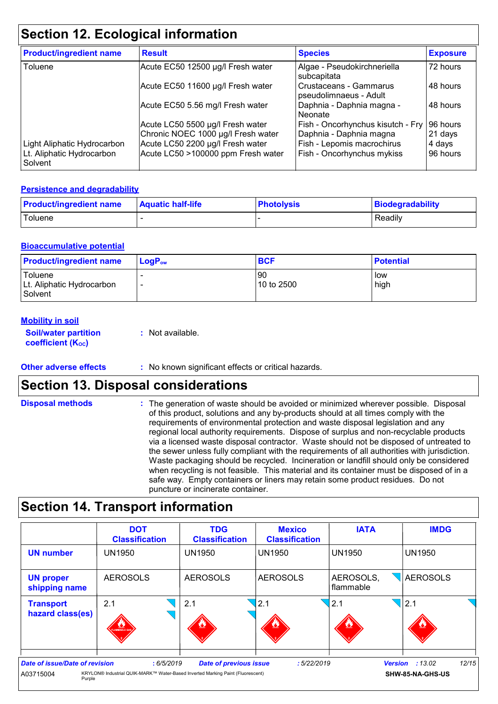# **Section 12. Ecological information**

| <b>Product/ingredient name</b>       | <b>Result</b>                      | <b>Species</b>                                   | <b>Exposure</b> |
|--------------------------------------|------------------------------------|--------------------------------------------------|-----------------|
| Toluene                              | Acute EC50 12500 µg/l Fresh water  | Algae - Pseudokirchneriella<br>subcapitata       | 72 hours        |
|                                      | Acute EC50 11600 µg/l Fresh water  | Crustaceans - Gammarus<br>pseudolimnaeus - Adult | 48 hours        |
|                                      | Acute EC50 5.56 mg/l Fresh water   | Daphnia - Daphnia magna -<br>Neonate             | 48 hours        |
|                                      | Acute LC50 5500 µg/l Fresh water   | Fish - Oncorhynchus kisutch - Fry                | 96 hours        |
|                                      | Chronic NOEC 1000 µg/l Fresh water | Daphnia - Daphnia magna                          | $21$ days       |
| Light Aliphatic Hydrocarbon          | Acute LC50 2200 µg/l Fresh water   | Fish - Lepomis macrochirus                       | 4 days          |
| Lt. Aliphatic Hydrocarbon<br>Solvent | Acute LC50 >100000 ppm Fresh water | Fish - Oncorhynchus mykiss                       | 96 hours        |

### **Persistence and degradability**

| <b>Product/ingredient name</b> | <b>Aquatic half-life</b> | <b>Photolysis</b> | <b>Biodegradability</b> |
|--------------------------------|--------------------------|-------------------|-------------------------|
| Toluene                        |                          |                   | Readily                 |

### **Bioaccumulative potential**

| <b>Product/ingredient name</b>                  | $LoaPow$ | <b>BCF</b>       | <b>Potential</b> |
|-------------------------------------------------|----------|------------------|------------------|
| Toluene<br>Lt. Aliphatic Hydrocarbon<br>Solvent |          | 90<br>10 to 2500 | low<br>high      |

### **Mobility in soil**

| <b>Soil/water partition</b>    | : Not available. |
|--------------------------------|------------------|
| coefficient (K <sub>oc</sub> ) |                  |

#### **Other adverse effects** : No known significant effects or critical hazards.

### **Section 13. Disposal considerations**

| <b>Disposal methods</b> | : The generation of waste should be avoided or minimized wherever possible. Disposal<br>of this product, solutions and any by-products should at all times comply with the<br>requirements of environmental protection and waste disposal legislation and any<br>regional local authority requirements. Dispose of surplus and non-recyclable products<br>via a licensed waste disposal contractor. Waste should not be disposed of untreated to<br>the sewer unless fully compliant with the requirements of all authorities with jurisdiction.<br>Waste packaging should be recycled. Incineration or landfill should only be considered<br>when recycling is not feasible. This material and its container must be disposed of in a<br>safe way. Empty containers or liners may retain some product residues. Do not<br>puncture or incinerate container. |
|-------------------------|--------------------------------------------------------------------------------------------------------------------------------------------------------------------------------------------------------------------------------------------------------------------------------------------------------------------------------------------------------------------------------------------------------------------------------------------------------------------------------------------------------------------------------------------------------------------------------------------------------------------------------------------------------------------------------------------------------------------------------------------------------------------------------------------------------------------------------------------------------------|
|                         |                                                                                                                                                                                                                                                                                                                                                                                                                                                                                                                                                                                                                                                                                                                                                                                                                                                              |

# **Section 14. Transport information**

|                                                       | <b>DOT</b><br><b>Classification</b>                                                          | <b>TDG</b><br><b>Classification</b> | <b>Mexico</b><br><b>Classification</b> | <b>IATA</b>            | <b>IMDG</b>                                         |
|-------------------------------------------------------|----------------------------------------------------------------------------------------------|-------------------------------------|----------------------------------------|------------------------|-----------------------------------------------------|
| <b>UN number</b>                                      | <b>UN1950</b>                                                                                | <b>UN1950</b>                       | <b>UN1950</b>                          | <b>UN1950</b>          | <b>UN1950</b>                                       |
| <b>UN proper</b><br>shipping name                     | <b>AEROSOLS</b>                                                                              | <b>AEROSOLS</b>                     | <b>AEROSOLS</b>                        | AEROSOLS,<br>flammable | <b>AEROSOLS</b>                                     |
| <b>Transport</b><br>hazard class(es)                  | 2.1<br><b>FLAMMABLE GA:</b>                                                                  | 2.1                                 | 2.1                                    | 2.1                    | 2.1                                                 |
| Date of issue/Date of revision<br>A03715004<br>Purple | : 6/5/2019<br>KRYLON® Industrial QUIK-MARK™ Water-Based Inverted Marking Paint (Fluorescent) | <b>Date of previous issue</b>       | :5/22/2019                             |                        | 12/15<br><b>Version</b> : 13.02<br>SHW-85-NA-GHS-US |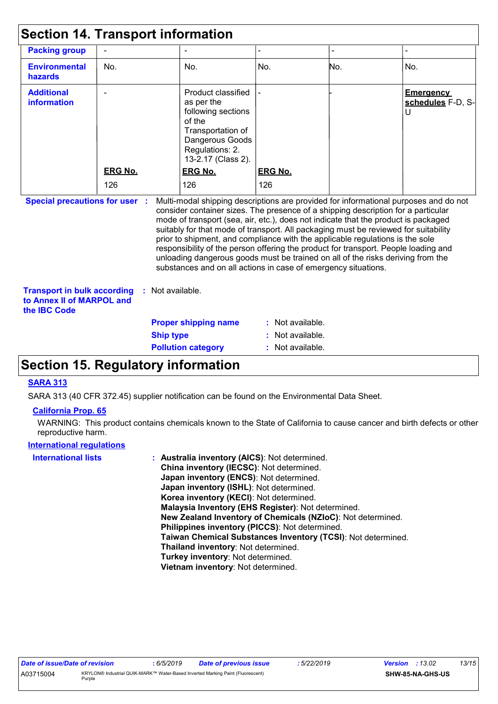| <b>Section 14. Transport information</b>                                        |                |                    |                                                                                                                                                                                                                                                                                                                                                                                                                                                                                                                                                                                                                                                                                     |                |     |                                                       |
|---------------------------------------------------------------------------------|----------------|--------------------|-------------------------------------------------------------------------------------------------------------------------------------------------------------------------------------------------------------------------------------------------------------------------------------------------------------------------------------------------------------------------------------------------------------------------------------------------------------------------------------------------------------------------------------------------------------------------------------------------------------------------------------------------------------------------------------|----------------|-----|-------------------------------------------------------|
| <b>Packing group</b>                                                            |                |                    |                                                                                                                                                                                                                                                                                                                                                                                                                                                                                                                                                                                                                                                                                     |                |     |                                                       |
| <b>Environmental</b><br>hazards                                                 | No.            |                    | No.                                                                                                                                                                                                                                                                                                                                                                                                                                                                                                                                                                                                                                                                                 | No.            | No. | No.                                                   |
| <b>Additional</b><br>information                                                |                |                    | Product classified<br>as per the<br>following sections<br>of the<br>Transportation of<br>Dangerous Goods<br>Regulations: 2.<br>13-2.17 (Class 2).                                                                                                                                                                                                                                                                                                                                                                                                                                                                                                                                   |                |     | <b>Emergency</b><br>schedules F-D, S-<br>$\mathsf{U}$ |
|                                                                                 | <b>ERG No.</b> |                    | ERG No.                                                                                                                                                                                                                                                                                                                                                                                                                                                                                                                                                                                                                                                                             | <b>ERG No.</b> |     |                                                       |
|                                                                                 | 126            |                    | 126                                                                                                                                                                                                                                                                                                                                                                                                                                                                                                                                                                                                                                                                                 | 126            |     |                                                       |
| <b>Special precautions for user :</b>                                           |                |                    | Multi-modal shipping descriptions are provided for informational purposes and do not<br>consider container sizes. The presence of a shipping description for a particular<br>mode of transport (sea, air, etc.), does not indicate that the product is packaged<br>suitably for that mode of transport. All packaging must be reviewed for suitability<br>prior to shipment, and compliance with the applicable regulations is the sole<br>responsibility of the person offering the product for transport. People loading and<br>unloading dangerous goods must be trained on all of the risks deriving from the<br>substances and on all actions in case of emergency situations. |                |     |                                                       |
| <b>Transport in bulk according</b><br>to Annex II of MARPOL and<br>the IBC Code |                | $:$ Not available. |                                                                                                                                                                                                                                                                                                                                                                                                                                                                                                                                                                                                                                                                                     |                |     |                                                       |
|                                                                                 |                |                    | <b>Proper shipping name</b>                                                                                                                                                                                                                                                                                                                                                                                                                                                                                                                                                                                                                                                         | Not available. |     |                                                       |
|                                                                                 |                | <b>Ship type</b>   |                                                                                                                                                                                                                                                                                                                                                                                                                                                                                                                                                                                                                                                                                     | Not available. |     |                                                       |
|                                                                                 |                |                    | <b>Pollution category</b>                                                                                                                                                                                                                                                                                                                                                                                                                                                                                                                                                                                                                                                           | Not available. |     |                                                       |

## **Section 15. Regulatory information**

### **SARA 313**

SARA 313 (40 CFR 372.45) supplier notification can be found on the Environmental Data Sheet.

#### **California Prop. 65**

WARNING: This product contains chemicals known to the State of California to cause cancer and birth defects or other reproductive harm.

#### **International regulations**

| <b>International lists</b> | : Australia inventory (AICS): Not determined.                |
|----------------------------|--------------------------------------------------------------|
|                            | China inventory (IECSC): Not determined.                     |
|                            | Japan inventory (ENCS): Not determined.                      |
|                            | Japan inventory (ISHL): Not determined.                      |
|                            | Korea inventory (KECI): Not determined.                      |
|                            | Malaysia Inventory (EHS Register): Not determined.           |
|                            | New Zealand Inventory of Chemicals (NZIoC): Not determined.  |
|                            | Philippines inventory (PICCS): Not determined.               |
|                            | Taiwan Chemical Substances Inventory (TCSI): Not determined. |
|                            | Thailand inventory: Not determined.                          |
|                            | Turkey inventory: Not determined.                            |
|                            | Vietnam inventory: Not determined.                           |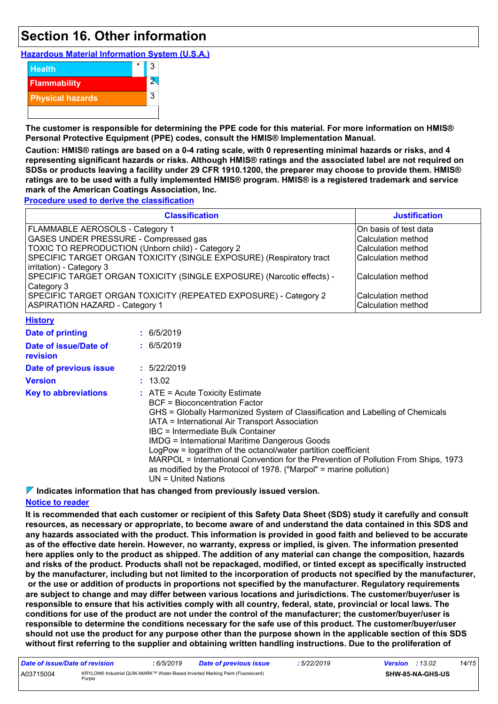## **Section 16. Other information**

**Hazardous Material Information System (U.S.A.)**



**The customer is responsible for determining the PPE code for this material. For more information on HMIS® Personal Protective Equipment (PPE) codes, consult the HMIS® Implementation Manual.**

**Caution: HMIS® ratings are based on a 0-4 rating scale, with 0 representing minimal hazards or risks, and 4 representing significant hazards or risks. Although HMIS® ratings and the associated label are not required on SDSs or products leaving a facility under 29 CFR 1910.1200, the preparer may choose to provide them. HMIS® ratings are to be used with a fully implemented HMIS® program. HMIS® is a registered trademark and service mark of the American Coatings Association, Inc.**

**Procedure used to derive the classification**

| <b>Classification</b>                                                 | <b>Justification</b>  |
|-----------------------------------------------------------------------|-----------------------|
| <b>FLAMMABLE AEROSOLS - Category 1</b>                                | On basis of test data |
| <b>GASES UNDER PRESSURE - Compressed gas</b>                          | Calculation method    |
| TOXIC TO REPRODUCTION (Unborn child) - Category 2                     | Calculation method    |
| SPECIFIC TARGET ORGAN TOXICITY (SINGLE EXPOSURE) (Respiratory tract   | Calculation method    |
| irritation) - Category 3                                              |                       |
| SPECIFIC TARGET ORGAN TOXICITY (SINGLE EXPOSURE) (Narcotic effects) - | Calculation method    |
| Category 3                                                            |                       |
| SPECIFIC TARGET ORGAN TOXICITY (REPEATED EXPOSURE) - Category 2       | Calculation method    |
| <b>ASPIRATION HAZARD - Category 1</b>                                 | Calculation method    |
| $1111 - 411 - 111$                                                    |                       |

| <u> FIBIOLA</u>                          |                                                                                                                                                                                                                                                                                                                                                                                                                                                                                                                                                                          |
|------------------------------------------|--------------------------------------------------------------------------------------------------------------------------------------------------------------------------------------------------------------------------------------------------------------------------------------------------------------------------------------------------------------------------------------------------------------------------------------------------------------------------------------------------------------------------------------------------------------------------|
| Date of printing                         | $\div$ 6/5/2019                                                                                                                                                                                                                                                                                                                                                                                                                                                                                                                                                          |
| Date of issue/Date of<br><b>revision</b> | : 6/5/2019                                                                                                                                                                                                                                                                                                                                                                                                                                                                                                                                                               |
| Date of previous issue                   | : 5/22/2019                                                                                                                                                                                                                                                                                                                                                                                                                                                                                                                                                              |
| <b>Version</b>                           | : 13.02                                                                                                                                                                                                                                                                                                                                                                                                                                                                                                                                                                  |
| <b>Key to abbreviations</b>              | $\therefore$ ATE = Acute Toxicity Estimate<br><b>BCF</b> = Bioconcentration Factor<br>GHS = Globally Harmonized System of Classification and Labelling of Chemicals<br>IATA = International Air Transport Association<br>IBC = Intermediate Bulk Container<br><b>IMDG = International Maritime Dangerous Goods</b><br>LogPow = logarithm of the octanol/water partition coefficient<br>MARPOL = International Convention for the Prevention of Pollution From Ships, 1973<br>as modified by the Protocol of 1978. ("Marpol" = marine pollution)<br>$UN = United Nations$ |

**Indicates information that has changed from previously issued version.**

#### **Notice to reader**

**It is recommended that each customer or recipient of this Safety Data Sheet (SDS) study it carefully and consult resources, as necessary or appropriate, to become aware of and understand the data contained in this SDS and any hazards associated with the product. This information is provided in good faith and believed to be accurate as of the effective date herein. However, no warranty, express or implied, is given. The information presented here applies only to the product as shipped. The addition of any material can change the composition, hazards and risks of the product. Products shall not be repackaged, modified, or tinted except as specifically instructed by the manufacturer, including but not limited to the incorporation of products not specified by the manufacturer, or the use or addition of products in proportions not specified by the manufacturer. Regulatory requirements are subject to change and may differ between various locations and jurisdictions. The customer/buyer/user is responsible to ensure that his activities comply with all country, federal, state, provincial or local laws. The conditions for use of the product are not under the control of the manufacturer; the customer/buyer/user is responsible to determine the conditions necessary for the safe use of this product. The customer/buyer/user should not use the product for any purpose other than the purpose shown in the applicable section of this SDS without first referring to the supplier and obtaining written handling instructions. Due to the proliferation of**